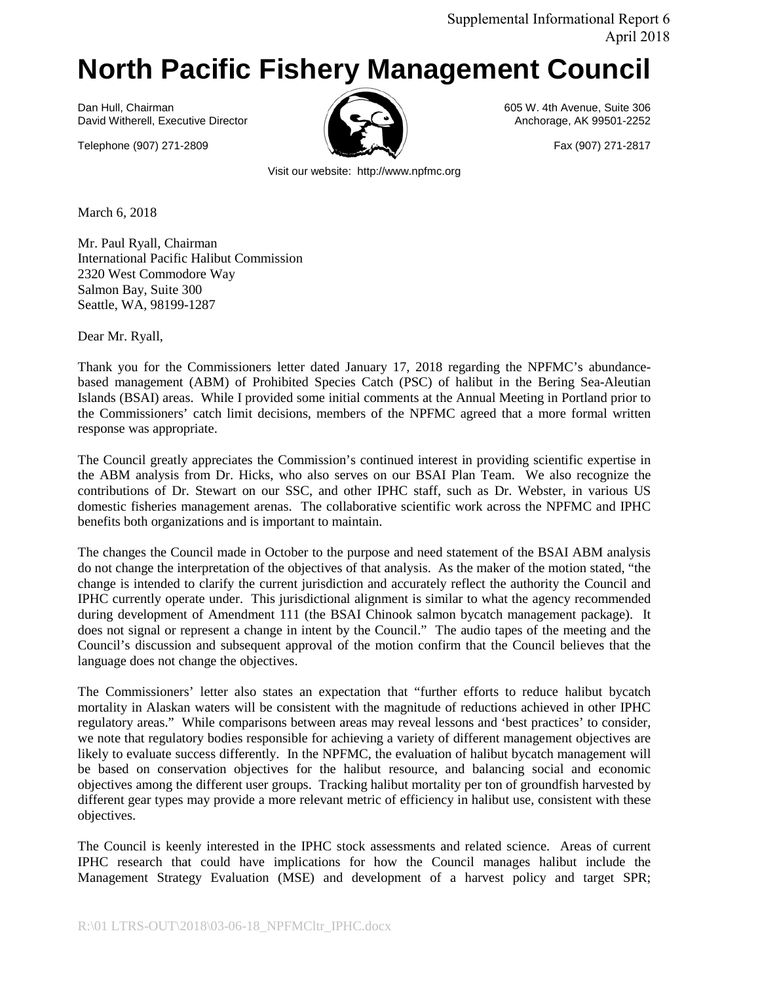## **North Pacific Fishery Management Council**

Dan Hull, Chairman 605 W. 4th Avenue, Suite 306<br>David Witherell, Executive Director **Canadian Control of Canadian Avenue, AX 99501-2252** David Witherell, Executive Director

Telephone (907) 271-2809 Fax (907) 271-2817



Visit our website: http://www.npfmc.org

March 6, 2018

Mr. Paul Ryall, Chairman International Pacific Halibut Commission 2320 West Commodore Way Salmon Bay, Suite 300 Seattle, WA, 98199-1287

Dear Mr. Ryall,

Thank you for the Commissioners letter dated January 17, 2018 regarding the NPFMC's abundancebased management (ABM) of Prohibited Species Catch (PSC) of halibut in the Bering Sea-Aleutian Islands (BSAI) areas. While I provided some initial comments at the Annual Meeting in Portland prior to the Commissioners' catch limit decisions, members of the NPFMC agreed that a more formal written response was appropriate.

The Council greatly appreciates the Commission's continued interest in providing scientific expertise in the ABM analysis from Dr. Hicks, who also serves on our BSAI Plan Team. We also recognize the contributions of Dr. Stewart on our SSC, and other IPHC staff, such as Dr. Webster, in various US domestic fisheries management arenas. The collaborative scientific work across the NPFMC and IPHC benefits both organizations and is important to maintain.

The changes the Council made in October to the purpose and need statement of the BSAI ABM analysis do not change the interpretation of the objectives of that analysis. As the maker of the motion stated, "the change is intended to clarify the current jurisdiction and accurately reflect the authority the Council and IPHC currently operate under. This jurisdictional alignment is similar to what the agency recommended during development of Amendment 111 (the BSAI Chinook salmon bycatch management package). It does not signal or represent a change in intent by the Council." The audio tapes of the meeting and the Council's discussion and subsequent approval of the motion confirm that the Council believes that the language does not change the objectives.

The Commissioners' letter also states an expectation that "further efforts to reduce halibut bycatch mortality in Alaskan waters will be consistent with the magnitude of reductions achieved in other IPHC regulatory areas." While comparisons between areas may reveal lessons and 'best practices' to consider, we note that regulatory bodies responsible for achieving a variety of different management objectives are likely to evaluate success differently. In the NPFMC, the evaluation of halibut bycatch management will be based on conservation objectives for the halibut resource, and balancing social and economic objectives among the different user groups. Tracking halibut mortality per ton of groundfish harvested by different gear types may provide a more relevant metric of efficiency in halibut use, consistent with these objectives.

The Council is keenly interested in the IPHC stock assessments and related science. Areas of current IPHC research that could have implications for how the Council manages halibut include the Management Strategy Evaluation (MSE) and development of a harvest policy and target SPR;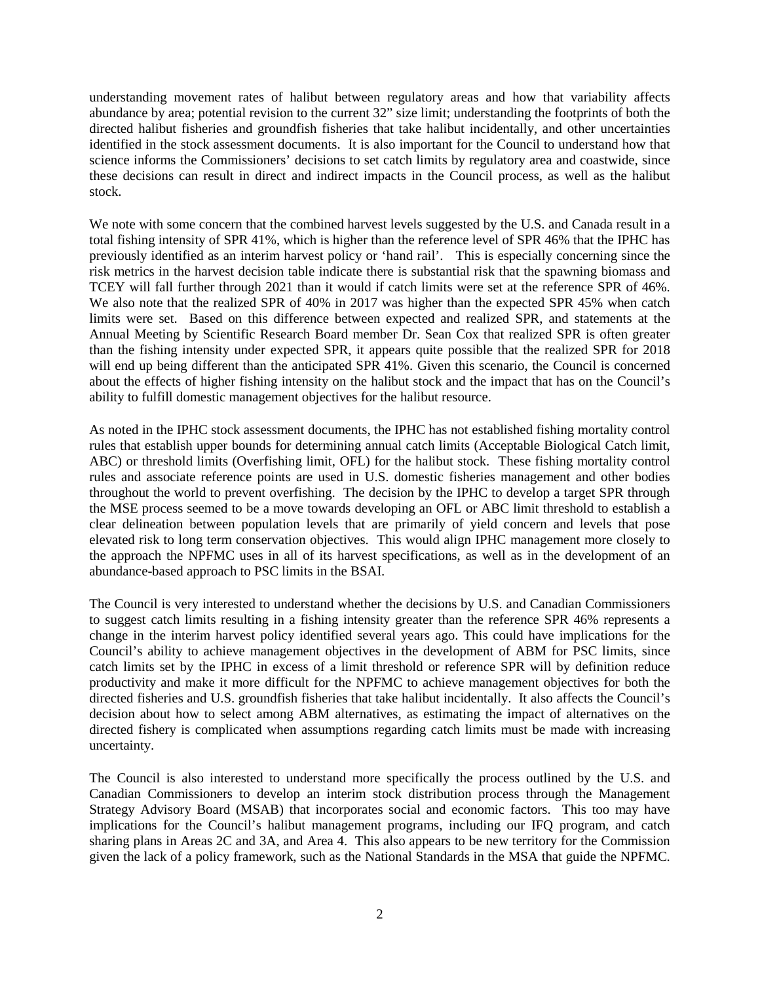understanding movement rates of halibut between regulatory areas and how that variability affects abundance by area; potential revision to the current 32" size limit; understanding the footprints of both the directed halibut fisheries and groundfish fisheries that take halibut incidentally, and other uncertainties identified in the stock assessment documents. It is also important for the Council to understand how that science informs the Commissioners' decisions to set catch limits by regulatory area and coastwide, since these decisions can result in direct and indirect impacts in the Council process, as well as the halibut stock.

We note with some concern that the combined harvest levels suggested by the U.S. and Canada result in a total fishing intensity of SPR 41%, which is higher than the reference level of SPR 46% that the IPHC has previously identified as an interim harvest policy or 'hand rail'. This is especially concerning since the risk metrics in the harvest decision table indicate there is substantial risk that the spawning biomass and TCEY will fall further through 2021 than it would if catch limits were set at the reference SPR of 46%. We also note that the realized SPR of 40% in 2017 was higher than the expected SPR 45% when catch limits were set. Based on this difference between expected and realized SPR, and statements at the Annual Meeting by Scientific Research Board member Dr. Sean Cox that realized SPR is often greater than the fishing intensity under expected SPR, it appears quite possible that the realized SPR for 2018 will end up being different than the anticipated SPR 41%. Given this scenario, the Council is concerned about the effects of higher fishing intensity on the halibut stock and the impact that has on the Council's ability to fulfill domestic management objectives for the halibut resource.

As noted in the IPHC stock assessment documents, the IPHC has not established fishing mortality control rules that establish upper bounds for determining annual catch limits (Acceptable Biological Catch limit, ABC) or threshold limits (Overfishing limit, OFL) for the halibut stock. These fishing mortality control rules and associate reference points are used in U.S. domestic fisheries management and other bodies throughout the world to prevent overfishing. The decision by the IPHC to develop a target SPR through the MSE process seemed to be a move towards developing an OFL or ABC limit threshold to establish a clear delineation between population levels that are primarily of yield concern and levels that pose elevated risk to long term conservation objectives. This would align IPHC management more closely to the approach the NPFMC uses in all of its harvest specifications, as well as in the development of an abundance-based approach to PSC limits in the BSAI.

The Council is very interested to understand whether the decisions by U.S. and Canadian Commissioners to suggest catch limits resulting in a fishing intensity greater than the reference SPR 46% represents a change in the interim harvest policy identified several years ago. This could have implications for the Council's ability to achieve management objectives in the development of ABM for PSC limits, since catch limits set by the IPHC in excess of a limit threshold or reference SPR will by definition reduce productivity and make it more difficult for the NPFMC to achieve management objectives for both the directed fisheries and U.S. groundfish fisheries that take halibut incidentally. It also affects the Council's decision about how to select among ABM alternatives, as estimating the impact of alternatives on the directed fishery is complicated when assumptions regarding catch limits must be made with increasing uncertainty.

The Council is also interested to understand more specifically the process outlined by the U.S. and Canadian Commissioners to develop an interim stock distribution process through the Management Strategy Advisory Board (MSAB) that incorporates social and economic factors. This too may have implications for the Council's halibut management programs, including our IFQ program, and catch sharing plans in Areas 2C and 3A, and Area 4. This also appears to be new territory for the Commission given the lack of a policy framework, such as the National Standards in the MSA that guide the NPFMC.